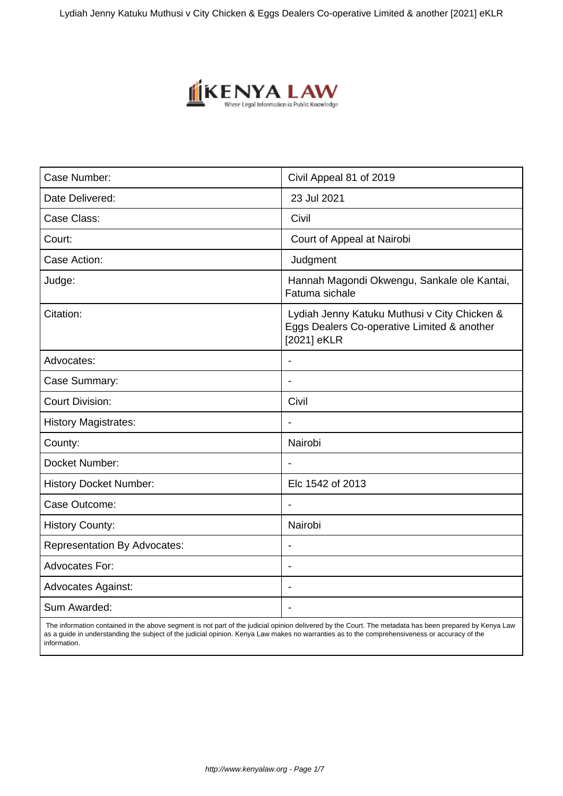Lydiah Jenny Katuku Muthusi v City Chicken & Eggs Dealers Co-operative Limited & another [2021] eKLR



| Case Number:                        | Civil Appeal 81 of 2019                                                                                    |
|-------------------------------------|------------------------------------------------------------------------------------------------------------|
| Date Delivered:                     | 23 Jul 2021                                                                                                |
| Case Class:                         | Civil                                                                                                      |
| Court:                              | Court of Appeal at Nairobi                                                                                 |
| Case Action:                        | Judgment                                                                                                   |
| Judge:                              | Hannah Magondi Okwengu, Sankale ole Kantai,<br>Fatuma sichale                                              |
| Citation:                           | Lydiah Jenny Katuku Muthusi v City Chicken &<br>Eggs Dealers Co-operative Limited & another<br>[2021] eKLR |
| Advocates:                          | $\blacksquare$                                                                                             |
| Case Summary:                       |                                                                                                            |
| <b>Court Division:</b>              | Civil                                                                                                      |
| <b>History Magistrates:</b>         | $\overline{\phantom{a}}$                                                                                   |
| County:                             | Nairobi                                                                                                    |
| Docket Number:                      |                                                                                                            |
| <b>History Docket Number:</b>       | Elc 1542 of 2013                                                                                           |
| Case Outcome:                       | $\blacksquare$                                                                                             |
| <b>History County:</b>              | Nairobi                                                                                                    |
| <b>Representation By Advocates:</b> |                                                                                                            |
| <b>Advocates For:</b>               | $\blacksquare$                                                                                             |
| <b>Advocates Against:</b>           | $\overline{\phantom{a}}$                                                                                   |
| Sum Awarded:                        |                                                                                                            |

 The information contained in the above segment is not part of the judicial opinion delivered by the Court. The metadata has been prepared by Kenya Law as a guide in understanding the subject of the judicial opinion. Kenya Law makes no warranties as to the comprehensiveness or accuracy of the information.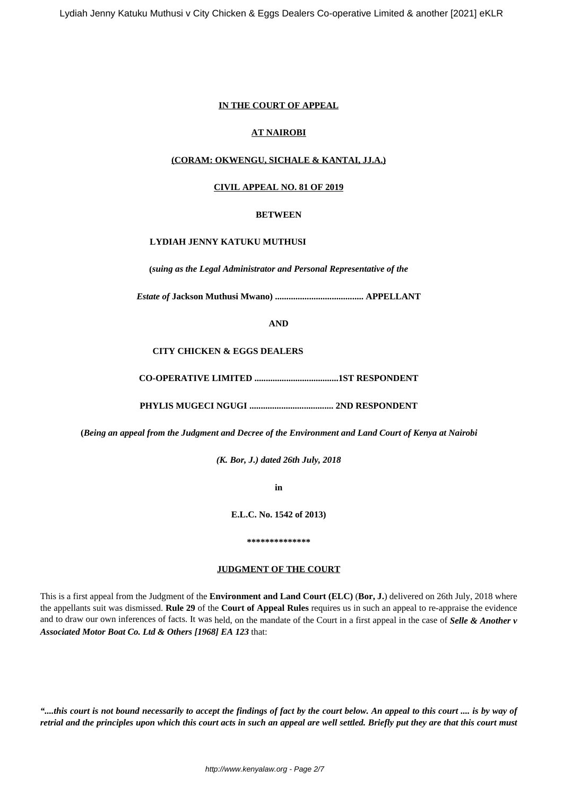# **IN THE COURT OF APPEAL**

# **AT NAIROBI**

# **(CORAM: OKWENGU, SICHALE & KANTAI, JJ.A.)**

### **CIVIL APPEAL NO. 81 OF 2019**

#### **BETWEEN**

### **LYDIAH JENNY KATUKU MUTHUSI**

**(***suing as the Legal Administrator and Personal Representative of the*

*Estate of* **Jackson Muthusi Mwano) ....................................... APPELLANT**

**AND**

#### **CITY CHICKEN & EGGS DEALERS**

**CO-OPERATIVE LIMITED .....................................1ST RESPONDENT**

**PHYLIS MUGECI NGUGI ..................................... 2ND RESPONDENT**

**(***Being an appeal from the Judgment and Decree of the Environment and Land Court of Kenya at Nairobi*

*(K. Bor, J.) dated 26th July, 2018*

**in**

**E.L.C. No. 1542 of 2013)**

#### **\*\*\*\*\*\*\*\*\*\*\*\*\*\***

#### **JUDGMENT OF THE COURT**

This is a first appeal from the Judgment of the **Environment and Land Court (ELC)** (**Bor, J.**) delivered on 26th July, 2018 where the appellants suit was dismissed. **Rule 29** of the **Court of Appeal Rules** requires us in such an appeal to re-appraise the evidence and to draw our own inferences of facts. It was held, on the mandate of the Court in a first appeal in the case of *Selle & Another v Associated Motor Boat Co. Ltd & Others [1968] EA 123* that:

*"....this court is not bound necessarily to accept the findings of fact by the court below. An appeal to this court .... is by way of retrial and the principles upon which this court acts in such an appeal are well settled. Briefly put they are that this court must*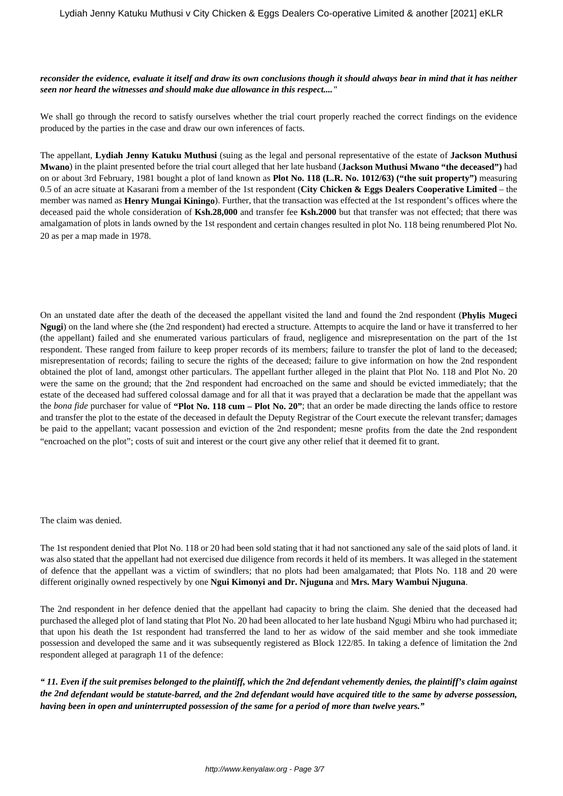#### *reconsider the evidence, evaluate it itself and draw its own conclusions though it should always bear in mind that it has neither seen nor heard the witnesses and should make due allowance in this respect...."*

We shall go through the record to satisfy ourselves whether the trial court properly reached the correct findings on the evidence produced by the parties in the case and draw our own inferences of facts.

The appellant, **Lydiah Jenny Katuku Muthusi** (suing as the legal and personal representative of the estate of **Jackson Muthusi Mwano**) in the plaint presented before the trial court alleged that her late husband (**Jackson Muthusi Mwano "the deceased")** had on or about 3rd February, 1981 bought a plot of land known as **Plot No. 118 (L.R. No. 1012/63) ("the suit property")** measuring 0.5 of an acre situate at Kasarani from a member of the 1st respondent (**City Chicken & Eggs Dealers Cooperative Limited** – the member was named as **Henry Mungai Kiningo**). Further, that the transaction was effected at the 1st respondent's offices where the deceased paid the whole consideration of **Ksh.28,000** and transfer fee **Ksh.2000** but that transfer was not effected; that there was amalgamation of plots in lands owned by the 1st respondent and certain changes resulted in plot No. 118 being renumbered Plot No. 20 as per a map made in 1978.

On an unstated date after the death of the deceased the appellant visited the land and found the 2nd respondent (**Phylis Mugeci Ngugi**) on the land where she (the 2nd respondent) had erected a structure. Attempts to acquire the land or have it transferred to her (the appellant) failed and she enumerated various particulars of fraud, negligence and misrepresentation on the part of the 1st respondent. These ranged from failure to keep proper records of its members; failure to transfer the plot of land to the deceased; misrepresentation of records; failing to secure the rights of the deceased; failure to give information on how the 2nd respondent obtained the plot of land, amongst other particulars. The appellant further alleged in the plaint that Plot No. 118 and Plot No. 20 were the same on the ground; that the 2nd respondent had encroached on the same and should be evicted immediately; that the estate of the deceased had suffered colossal damage and for all that it was prayed that a declaration be made that the appellant was the *bona fide* purchaser for value of **"Plot No. 118 cum – Plot No. 20"**; that an order be made directing the lands office to restore and transfer the plot to the estate of the deceased in default the Deputy Registrar of the Court execute the relevant transfer; damages be paid to the appellant; vacant possession and eviction of the 2nd respondent; mesne profits from the date the 2nd respondent "encroached on the plot"; costs of suit and interest or the court give any other relief that it deemed fit to grant.

The claim was denied.

The 1st respondent denied that Plot No. 118 or 20 had been sold stating that it had not sanctioned any sale of the said plots of land. it was also stated that the appellant had not exercised due diligence from records it held of its members. It was alleged in the statement of defence that the appellant was a victim of swindlers; that no plots had been amalgamated; that Plots No. 118 and 20 were different originally owned respectively by one **Ngui Kimonyi and Dr. Njuguna** and **Mrs. Mary Wambui Njuguna**.

The 2nd respondent in her defence denied that the appellant had capacity to bring the claim. She denied that the deceased had purchased the alleged plot of land stating that Plot No. 20 had been allocated to her late husband Ngugi Mbiru who had purchased it; that upon his death the 1st respondent had transferred the land to her as widow of the said member and she took immediate possession and developed the same and it was subsequently registered as Block 122/85. In taking a defence of limitation the 2nd respondent alleged at paragraph 11 of the defence:

*" 11. Even if the suit premises belonged to the plaintiff, which the 2nd defendant vehemently denies, the plaintiff's claim against the 2nd defendant would be statute-barred, and the 2nd defendant would have acquired title to the same by adverse possession, having been in open and uninterrupted possession of the same for a period of more than twelve years."*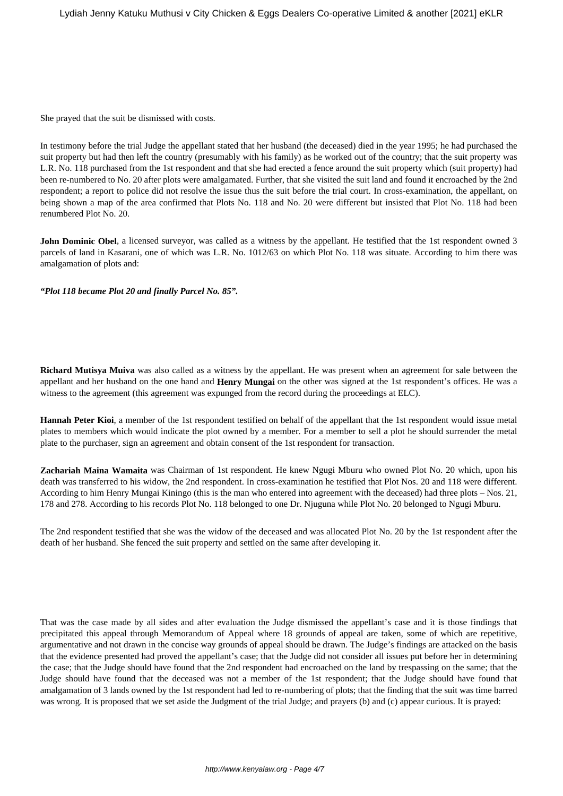She prayed that the suit be dismissed with costs.

In testimony before the trial Judge the appellant stated that her husband (the deceased) died in the year 1995; he had purchased the suit property but had then left the country (presumably with his family) as he worked out of the country; that the suit property was L.R. No. 118 purchased from the 1st respondent and that she had erected a fence around the suit property which (suit property) had been re-numbered to No. 20 after plots were amalgamated. Further, that she visited the suit land and found it encroached by the 2nd respondent; a report to police did not resolve the issue thus the suit before the trial court. In cross-examination, the appellant, on being shown a map of the area confirmed that Plots No. 118 and No. 20 were different but insisted that Plot No. 118 had been renumbered Plot No. 20.

**John Dominic Obel**, a licensed surveyor, was called as a witness by the appellant. He testified that the 1st respondent owned 3 parcels of land in Kasarani, one of which was L.R. No. 1012/63 on which Plot No. 118 was situate. According to him there was amalgamation of plots and:

*"Plot 118 became Plot 20 and finally Parcel No. 85".*

**Richard Mutisya Muiva** was also called as a witness by the appellant. He was present when an agreement for sale between the appellant and her husband on the one hand and **Henry Mungai** on the other was signed at the 1st respondent's offices. He was a witness to the agreement (this agreement was expunged from the record during the proceedings at ELC).

**Hannah Peter Kioi**, a member of the 1st respondent testified on behalf of the appellant that the 1st respondent would issue metal plates to members which would indicate the plot owned by a member. For a member to sell a plot he should surrender the metal plate to the purchaser, sign an agreement and obtain consent of the 1st respondent for transaction.

**Zachariah Maina Wamaita** was Chairman of 1st respondent. He knew Ngugi Mburu who owned Plot No. 20 which, upon his death was transferred to his widow, the 2nd respondent. In cross-examination he testified that Plot Nos. 20 and 118 were different. According to him Henry Mungai Kiningo (this is the man who entered into agreement with the deceased) had three plots – Nos. 21, 178 and 278. According to his records Plot No. 118 belonged to one Dr. Njuguna while Plot No. 20 belonged to Ngugi Mburu.

The 2nd respondent testified that she was the widow of the deceased and was allocated Plot No. 20 by the 1st respondent after the death of her husband. She fenced the suit property and settled on the same after developing it.

That was the case made by all sides and after evaluation the Judge dismissed the appellant's case and it is those findings that precipitated this appeal through Memorandum of Appeal where 18 grounds of appeal are taken, some of which are repetitive, argumentative and not drawn in the concise way grounds of appeal should be drawn. The Judge's findings are attacked on the basis that the evidence presented had proved the appellant's case; that the Judge did not consider all issues put before her in determining the case; that the Judge should have found that the 2nd respondent had encroached on the land by trespassing on the same; that the Judge should have found that the deceased was not a member of the 1st respondent; that the Judge should have found that amalgamation of 3 lands owned by the 1st respondent had led to re-numbering of plots; that the finding that the suit was time barred was wrong. It is proposed that we set aside the Judgment of the trial Judge; and prayers (b) and (c) appear curious. It is prayed: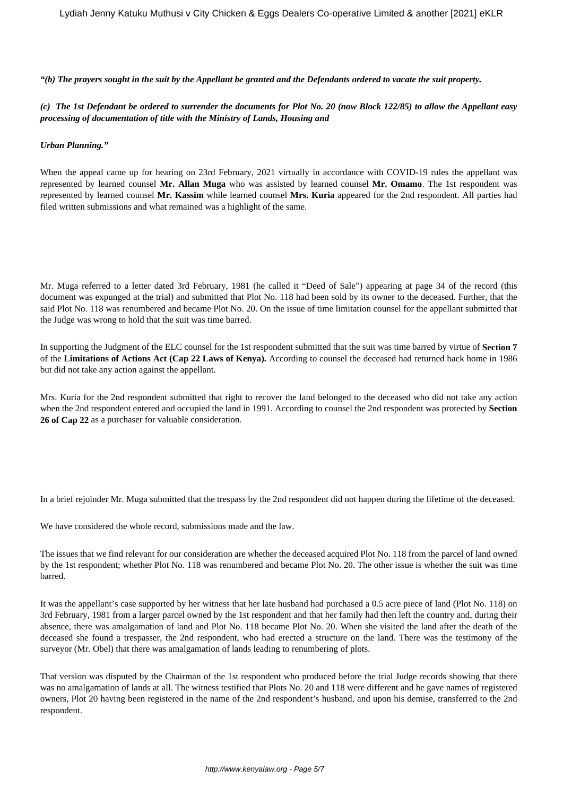*"(b) The prayers sought in the suit by the Appellant be granted and the Defendants ordered to vacate the suit property.*

#### *(c) The 1st Defendant be ordered to surrender the documents for Plot No. 20 (now Block 122/85) to allow the Appellant easy processing of documentation of title with the Ministry of Lands, Housing and*

#### *Urban Planning."*

When the appeal came up for hearing on 23rd February, 2021 virtually in accordance with COVID-19 rules the appellant was represented by learned counsel **Mr. Allan Muga** who was assisted by learned counsel **Mr. Omamo**. The 1st respondent was represented by learned counsel **Mr. Kassim** while learned counsel **Mrs. Kuria** appeared for the 2nd respondent. All parties had filed written submissions and what remained was a highlight of the same.

Mr. Muga referred to a letter dated 3rd February, 1981 (he called it "Deed of Sale") appearing at page 34 of the record (this document was expunged at the trial) and submitted that Plot No. 118 had been sold by its owner to the deceased. Further, that the said Plot No. 118 was renumbered and became Plot No. 20. On the issue of time limitation counsel for the appellant submitted that the Judge was wrong to hold that the suit was time barred.

In supporting the Judgment of the ELC counsel for the 1st respondent submitted that the suit was time barred by virtue of **Section 7** of the **Limitations of Actions Act (Cap 22 Laws of Kenya).** According to counsel the deceased had returned back home in 1986 but did not take any action against the appellant.

Mrs. Kuria for the 2nd respondent submitted that right to recover the land belonged to the deceased who did not take any action when the 2nd respondent entered and occupied the land in 1991. According to counsel the 2nd respondent was protected by **Section 26 of Cap 22** as a purchaser for valuable consideration.

In a brief rejoinder Mr. Muga submitted that the trespass by the 2nd respondent did not happen during the lifetime of the deceased.

We have considered the whole record, submissions made and the law.

The issues that we find relevant for our consideration are whether the deceased acquired Plot No. 118 from the parcel of land owned by the 1st respondent; whether Plot No. 118 was renumbered and became Plot No. 20. The other issue is whether the suit was time barred.

It was the appellant's case supported by her witness that her late husband had purchased a 0.5 acre piece of land (Plot No. 118) on 3rd February, 1981 from a larger parcel owned by the 1st respondent and that her family had then left the country and, during their absence, there was amalgamation of land and Plot No. 118 became Plot No. 20. When she visited the land after the death of the deceased she found a trespasser, the 2nd respondent, who had erected a structure on the land. There was the testimony of the surveyor (Mr. Obel) that there was amalgamation of lands leading to renumbering of plots.

That version was disputed by the Chairman of the 1st respondent who produced before the trial Judge records showing that there was no amalgamation of lands at all. The witness testified that Plots No. 20 and 118 were different and he gave names of registered owners, Plot 20 having been registered in the name of the 2nd respondent's husband, and upon his demise, transferred to the 2nd respondent.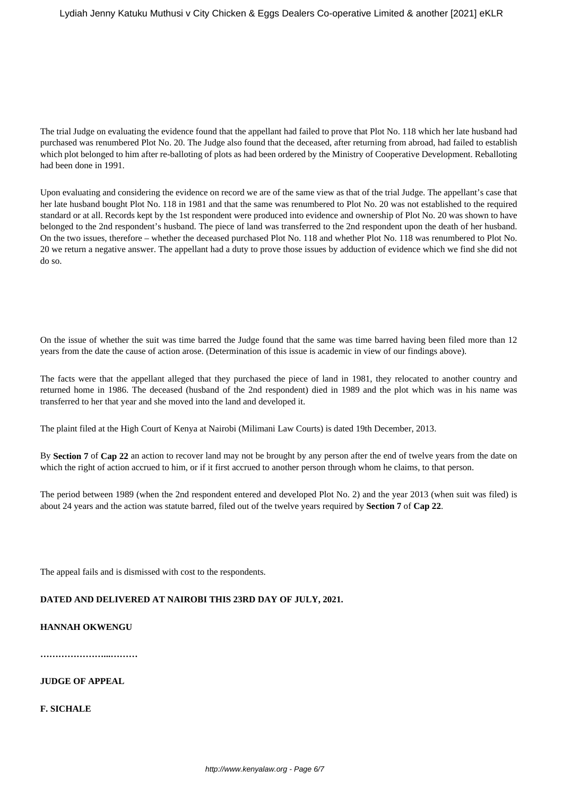The trial Judge on evaluating the evidence found that the appellant had failed to prove that Plot No. 118 which her late husband had purchased was renumbered Plot No. 20. The Judge also found that the deceased, after returning from abroad, had failed to establish which plot belonged to him after re-balloting of plots as had been ordered by the Ministry of Cooperative Development. Reballoting had been done in 1991.

Upon evaluating and considering the evidence on record we are of the same view as that of the trial Judge. The appellant's case that her late husband bought Plot No. 118 in 1981 and that the same was renumbered to Plot No. 20 was not established to the required standard or at all. Records kept by the 1st respondent were produced into evidence and ownership of Plot No. 20 was shown to have belonged to the 2nd respondent's husband. The piece of land was transferred to the 2nd respondent upon the death of her husband. On the two issues, therefore – whether the deceased purchased Plot No. 118 and whether Plot No. 118 was renumbered to Plot No. 20 we return a negative answer. The appellant had a duty to prove those issues by adduction of evidence which we find she did not do so.

On the issue of whether the suit was time barred the Judge found that the same was time barred having been filed more than 12 years from the date the cause of action arose. (Determination of this issue is academic in view of our findings above).

The facts were that the appellant alleged that they purchased the piece of land in 1981, they relocated to another country and returned home in 1986. The deceased (husband of the 2nd respondent) died in 1989 and the plot which was in his name was transferred to her that year and she moved into the land and developed it.

The plaint filed at the High Court of Kenya at Nairobi (Milimani Law Courts) is dated 19th December, 2013.

By **Section 7** of **Cap 22** an action to recover land may not be brought by any person after the end of twelve years from the date on which the right of action accrued to him, or if it first accrued to another person through whom he claims, to that person.

The period between 1989 (when the 2nd respondent entered and developed Plot No. 2) and the year 2013 (when suit was filed) is about 24 years and the action was statute barred, filed out of the twelve years required by **Section 7** of **Cap 22**.

The appeal fails and is dismissed with cost to the respondents.

# **DATED AND DELIVERED AT NAIROBI THIS 23RD DAY OF JULY, 2021.**

# **HANNAH OKWENGU**

**…………………...………**

**JUDGE OF APPEAL**

**F. SICHALE**